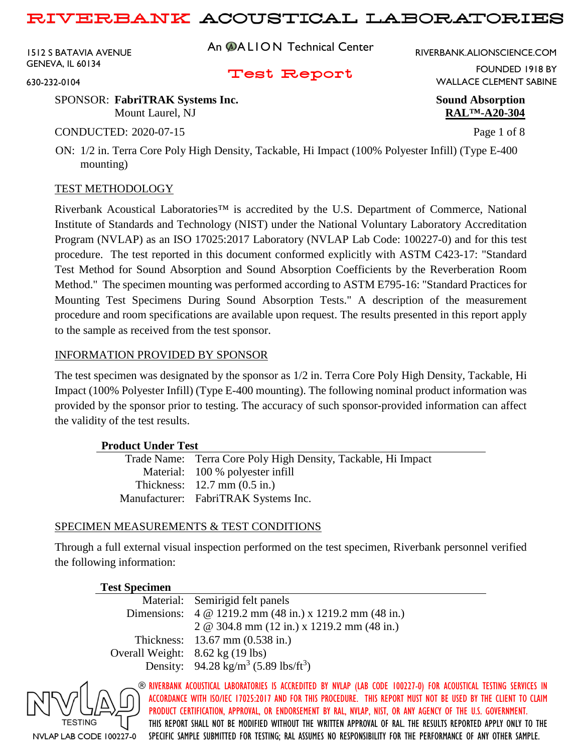1512 S BATAVIA AVENUE GENEVA, IL 60134

630-232-0104

An **@ALION** Technical Center

RIVERBANK.ALIONSCIENCE.COM

Test Report

FOUNDED 1918 BY WALLACE CLEMENT SABINE

SPONSOR: **FabriTRAK Systems Inc. Sound Absorption** Mount Laurel, NJ **RAL™-A20-304**

CONDUCTED: 2020-07-15 Page 1 of 8

ON: 1/2 in. Terra Core Poly High Density, Tackable, Hi Impact (100% Polyester Infill) (Type E-400 mounting)

### TEST METHODOLOGY

Riverbank Acoustical Laboratories™ is accredited by the U.S. Department of Commerce, National Institute of Standards and Technology (NIST) under the National Voluntary Laboratory Accreditation Program (NVLAP) as an ISO 17025:2017 Laboratory (NVLAP Lab Code: 100227-0) and for this test procedure. The test reported in this document conformed explicitly with ASTM C423-17: "Standard Test Method for Sound Absorption and Sound Absorption Coefficients by the Reverberation Room Method." The specimen mounting was performed according to ASTM E795-16: "Standard Practices for Mounting Test Specimens During Sound Absorption Tests." A description of the measurement procedure and room specifications are available upon request. The results presented in this report apply to the sample as received from the test sponsor.

### INFORMATION PROVIDED BY SPONSOR

The test specimen was designated by the sponsor as 1/2 in. Terra Core Poly High Density, Tackable, Hi Impact (100% Polyester Infill) (Type E-400 mounting). The following nominal product information was provided by the sponsor prior to testing. The accuracy of such sponsor-provided information can affect the validity of the test results.

### **Product Under Test**

| Trade Name: Terra Core Poly High Density, Tackable, Hi Impact |
|---------------------------------------------------------------|
| Material: 100 % polyester infill                              |
| Thickness: $12.7 \text{ mm} (0.5 \text{ in.})$                |
| Manufacturer: FabriTRAK Systems Inc.                          |

### SPECIMEN MEASUREMENTS & TEST CONDITIONS

Through a full external visual inspection performed on the test specimen, Riverbank personnel verified the following information:

### **Test Specimen**

|                                  | Material: Semirigid felt panels                                |
|----------------------------------|----------------------------------------------------------------|
|                                  | Dimensions: 4 @ 1219.2 mm (48 in.) x 1219.2 mm (48 in.)        |
|                                  | 2 @ 304.8 mm $(12 \text{ in.})$ x 1219.2 mm $(48 \text{ in.})$ |
|                                  | Thickness: $13.67 \text{ mm} (0.538 \text{ in.})$              |
| Overall Weight: 8.62 kg (19 lbs) |                                                                |
|                                  | Density: $94.28 \text{ kg/m}^3 (5.89 \text{ lbs/ft}^3)$        |
|                                  |                                                                |

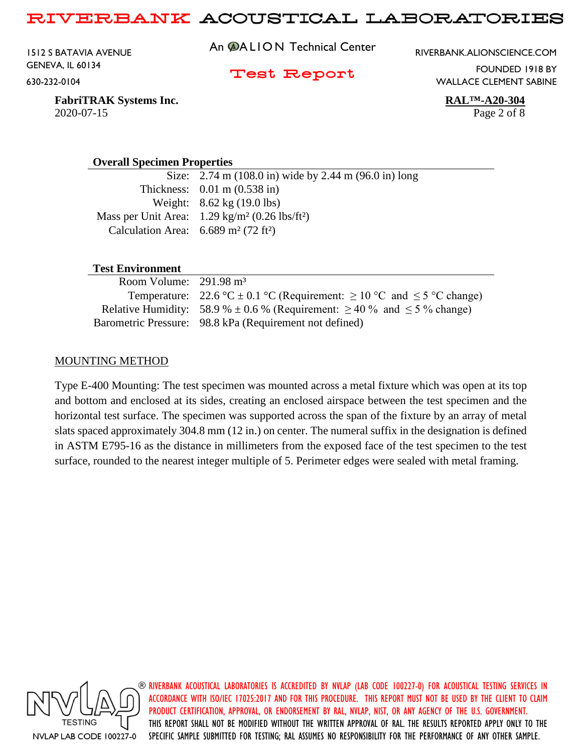1512 S BATAVIA AVENUE GENEVA, IL 60134 630-232-0104

An **@ALION** Technical Center

RIVERBANK.ALIONSCIENCE.COM

Test Report

FOUNDED 1918 BY WALLACE CLEMENT SABINE

**FabriTRAK Systems Inc. RAL™-A20-304** 2020-07-15 Page 2 of 8

#### **Overall Specimen Properties**

Size: 2.74 m (108.0 in) wide by 2.44 m (96.0 in) long Thickness: 0.01 m (0.538 in) Weight: 8.62 kg (19.0 lbs) Mass per Unit Area: 1.29 kg/m² (0.26 lbs/ft²) Calculation Area:  $6.689 \text{ m}^2 (72 \text{ ft}^2)$ 

#### **Test Environment**

| Room Volume: $291.98 \text{ m}^3$ |                                                                                        |
|-----------------------------------|----------------------------------------------------------------------------------------|
|                                   | Temperature: 22.6 °C $\pm$ 0.1 °C (Requirement: $\geq$ 10 °C and $\leq$ 5 °C change)   |
|                                   | Relative Humidity: 58.9 % $\pm$ 0.6 % (Requirement: $\geq$ 40 % and $\leq$ 5 % change) |
|                                   | Barometric Pressure: 98.8 kPa (Requirement not defined)                                |

#### MOUNTING METHOD

Type E-400 Mounting: The test specimen was mounted across a metal fixture which was open at its top and bottom and enclosed at its sides, creating an enclosed airspace between the test specimen and the horizontal test surface. The specimen was supported across the span of the fixture by an array of metal slats spaced approximately 304.8 mm (12 in.) on center. The numeral suffix in the designation is defined in ASTM E795-16 as the distance in millimeters from the exposed face of the test specimen to the test surface, rounded to the nearest integer multiple of 5. Perimeter edges were sealed with metal framing.

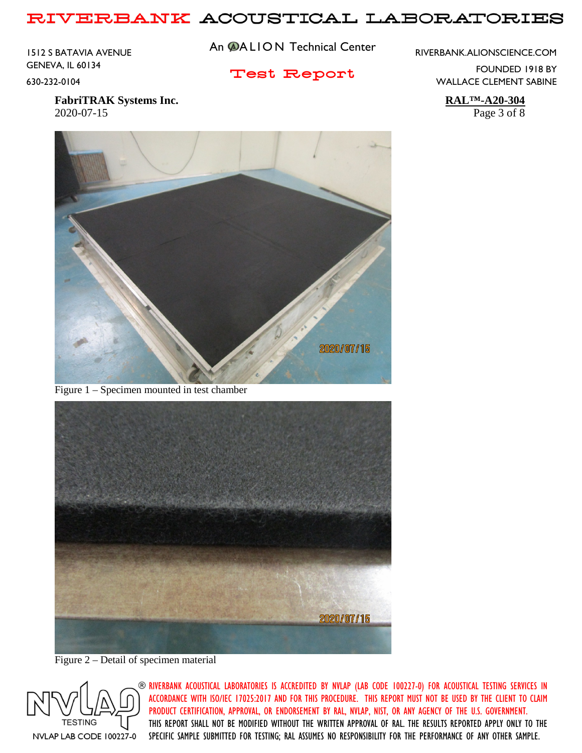1512 S BATAVIA AVENUE GENEVA, IL 60134 630-232-0104

An **@ALION** Technical Center

RIVERBANK.ALIONSCIENCE.COM

Test Report

FOUNDED 1918 BY WALLACE CLEMENT SABINE

**FabriTRAK Systems Inc. RAL™-A20-304** 2020-07-15 Page 3 of 8



Figure 1 – Specimen mounted in test chamber



Figure 2 – Detail of specimen material

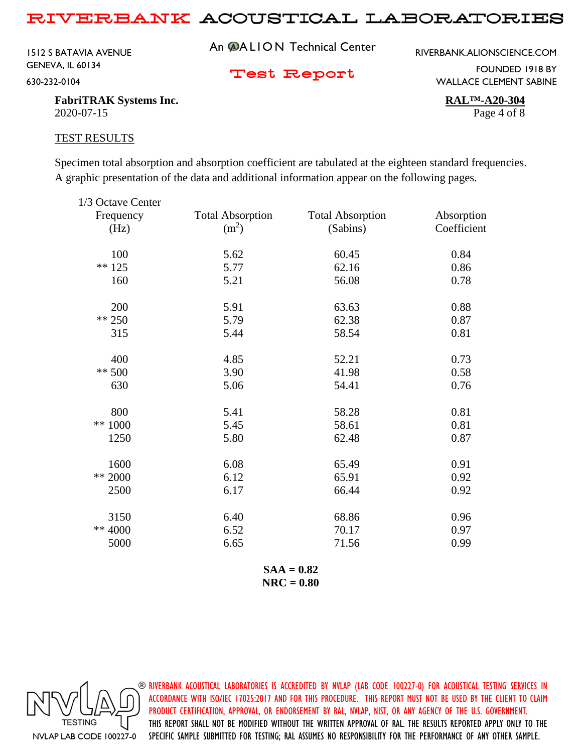1512 S BATAVIA AVENUE GENEVA, IL 60134 630-232-0104

An **@ALION** Technical Center

RIVERBANK.ALIONSCIENCE.COM

Test Report

FOUNDED 1918 BY WALLACE CLEMENT SABINE

**FabriTRAK Systems Inc. RAL™-A20-304** 2020-07-15 Page 4 of 8

#### TEST RESULTS

Specimen total absorption and absorption coefficient are tabulated at the eighteen standard frequencies. A graphic presentation of the data and additional information appear on the following pages.

| 1/3 Octave Center |                         |                         |             |
|-------------------|-------------------------|-------------------------|-------------|
| Frequency         | <b>Total Absorption</b> | <b>Total Absorption</b> | Absorption  |
| (Hz)              | (m <sup>2</sup> )       | (Sabins)                | Coefficient |
| 100               | 5.62                    | 60.45                   | 0.84        |
| $** 125$          | 5.77                    | 62.16                   | 0.86        |
| 160               | 5.21                    | 56.08                   | 0.78        |
| 200               | 5.91                    | 63.63                   | 0.88        |
| ** 250            | 5.79                    | 62.38                   | 0.87        |
| 315               | 5.44                    | 58.54                   | 0.81        |
| 400               | 4.85                    | 52.21                   | 0.73        |
| $** 500$          | 3.90                    | 41.98                   | 0.58        |
| 630               | 5.06                    | 54.41                   | 0.76        |
| 800               | 5.41                    | 58.28                   | 0.81        |
| ** 1000           | 5.45                    | 58.61                   | 0.81        |
| 1250              | 5.80                    | 62.48                   | 0.87        |
| 1600              | 6.08                    | 65.49                   | 0.91        |
| ** 2000           | 6.12                    | 65.91                   | 0.92        |
| 2500              | 6.17                    | 66.44                   | 0.92        |
| 3150              | 6.40                    | 68.86                   | 0.96        |
| ** 4000           | 6.52                    | 70.17                   | 0.97        |
| 5000              | 6.65                    | 71.56                   | 0.99        |
|                   |                         |                         |             |

**SAA = 0.82 NRC = 0.80**

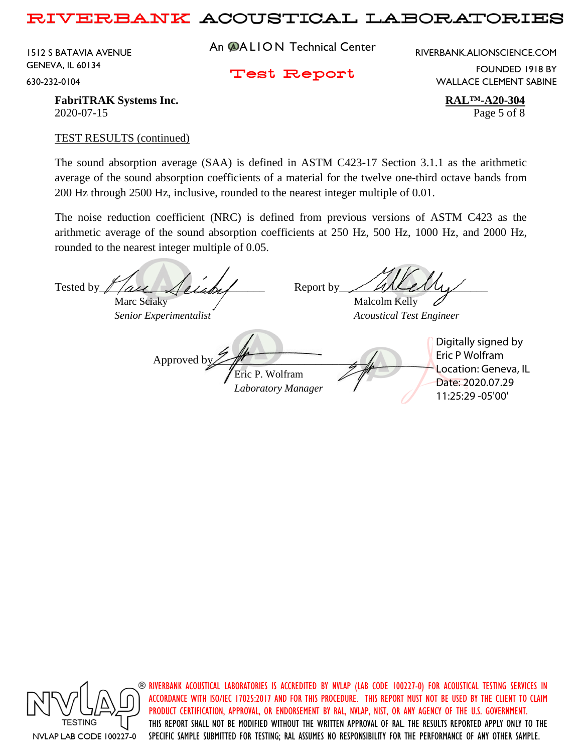1512 S BATAVIA AVENUE GENEVA, IL 60134 630-232-0104

An **@ALION** Technical Center

RIVERBANK.ALIONSCIENCE.COM

Test Report

FOUNDED 1918 BY WALLACE CLEMENT SABINE

**FabriTRAK Systems Inc. RAL™-A20-304** 2020-07-15 Page 5 of 8

#### TEST RESULTS (continued)

The sound absorption average (SAA) is defined in ASTM C423-17 Section 3.1.1 as the arithmetic average of the sound absorption coefficients of a material for the twelve one-third octave bands from 200 Hz through 2500 Hz, inclusive, rounded to the nearest integer multiple of 0.01.

The noise reduction coefficient (NRC) is defined from previous versions of ASTM C423 as the arithmetic average of the sound absorption coefficients at 250 Hz, 500 Hz, 1000 Hz, and 2000 Hz, rounded to the nearest integer multiple of 0.05.

Tested by  $\ell$  are  $\ell$  and  $\ell$  Report by Marc Sciaky / Malcolm Kelly *Senior Experimentalist Acoustical Test Engineer* Approved b Eric P. Wolfram *Laboratory Manager* Digitally signed by Eric P Wolfram Location: Geneva, IL Date: 2020.07.29 11:25:29 -05'00'



 $\circledast$  riverbank acoustical laboratories is accredited by nylap (lab code 100227-0) for acoustical testing services in ACCORDANCE WITH ISO/IEC 17025:2017 AND FOR THIS PROCEDURE. THIS REPORT MUST NOT BE USED BY THE CLIENT TO CLAIM PRODUCT CERTIFICATION, APPROVAL, OR ENDORSEMENT BY RAL, NVLAP, NIST, OR ANY AGENCY OF THE U.S. GOVERNMENT. THIS REPORT SHALL NOT BE MODIFIED WITHOUT THE WRITTEN APPROVAL OF RAL. THE RESULTS REPORTED APPLY ONLY TO THE SPECIFIC SAMPLE SUBMITTED FOR TESTING; RAL ASSUMES NO RESPONSIBILITY FOR THE PERFORMANCE OF ANY OTHER SAMPLE.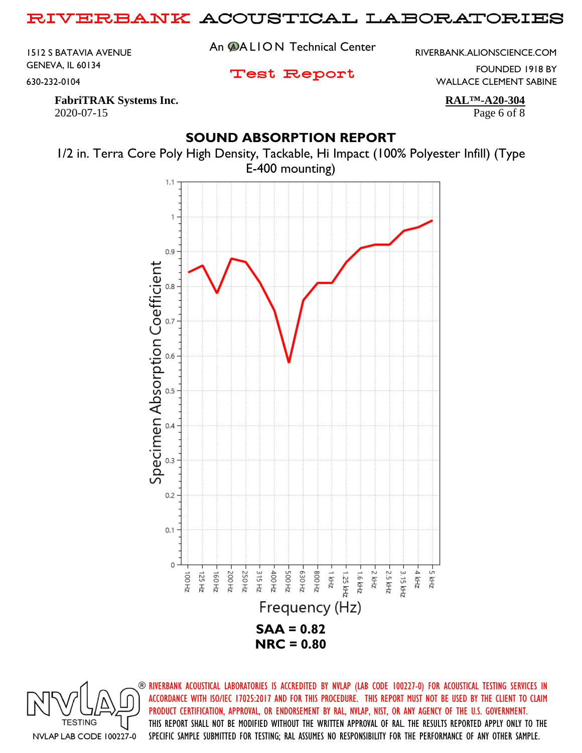1512 S BATAVIA AVENUE GENEVA, IL 60134 630-232-0104

An **@ALION** Technical Center

RIVERBANK.ALIONSCIENCE.COM

Test Report

FOUNDED 1918 BY WALLACE CLEMENT SABINE

**FabriTRAK Systems Inc. RAL™-A20-304** 2020-07-15 Page 6 of 8

# **SOUND ABSORPTION REPORT**



1/2 in. Terra Core Poly High Density, Tackable, Hi Impact (100% Polyester Infill) (Type

**TESTING** NVLAP LAB CODE 100227-0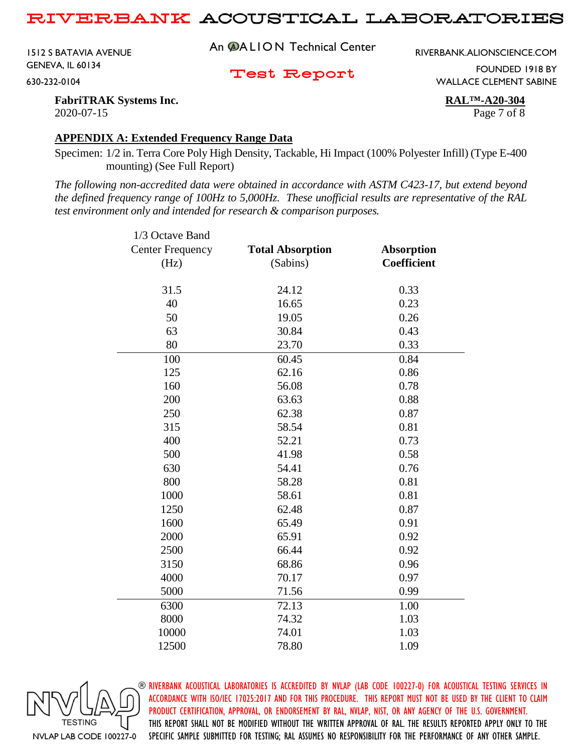1512 S BATAVIA AVENUE GENEVA, IL 60134 630-232-0104

An **@ALION** Technical Center

RIVERBANK.ALIONSCIENCE.COM

Test Report

FOUNDED 1918 BY WALLACE CLEMENT SABINE

**FabriTRAK Systems Inc. RAL™-A20-304** 2020-07-15 Page 7 of 8

#### **APPENDIX A: Extended Frequency Range Data**

Specimen: 1/2 in. Terra Core Poly High Density, Tackable, Hi Impact (100% Polyester Infill) (Type E-400 mounting) (See Full Report)

*The following non-accredited data were obtained in accordance with ASTM C423-17, but extend beyond the defined frequency range of 100Hz to 5,000Hz. These unofficial results are representative of the RAL test environment only and intended for research & comparison purposes.* 

| 1/3 Octave Band         |                         |                    |
|-------------------------|-------------------------|--------------------|
| <b>Center Frequency</b> | <b>Total Absorption</b> | <b>Absorption</b>  |
| (Hz)                    | (Sabins)                | <b>Coefficient</b> |
|                         |                         |                    |
| 31.5                    | 24.12                   | 0.33               |
| 40                      | 16.65                   | 0.23               |
| 50                      | 19.05                   | 0.26               |
| 63                      | 30.84                   | 0.43               |
| 80                      | 23.70                   | 0.33               |
| 100                     | 60.45                   | 0.84               |
| 125                     | 62.16                   | 0.86               |
| 160                     | 56.08                   | 0.78               |
| 200                     | 63.63                   | 0.88               |
| 250                     | 62.38                   | 0.87               |
| 315                     | 58.54                   | 0.81               |
| 400                     | 52.21                   | 0.73               |
| 500                     | 41.98                   | 0.58               |
| 630                     | 54.41                   | 0.76               |
| 800                     | 58.28                   | 0.81               |
| 1000                    | 58.61                   | 0.81               |
| 1250                    | 62.48                   | 0.87               |
| 1600                    | 65.49                   | 0.91               |
| 2000                    | 65.91                   | 0.92               |
| 2500                    | 66.44                   | 0.92               |
| 3150                    | 68.86                   | 0.96               |
| 4000                    | 70.17                   | 0.97               |
| 5000                    | 71.56                   | 0.99               |
| 6300                    | 72.13                   | 1.00               |
| 8000                    | 74.32                   | 1.03               |
| 10000                   | 74.01                   | 1.03               |
| 12500                   | 78.80                   | 1.09               |